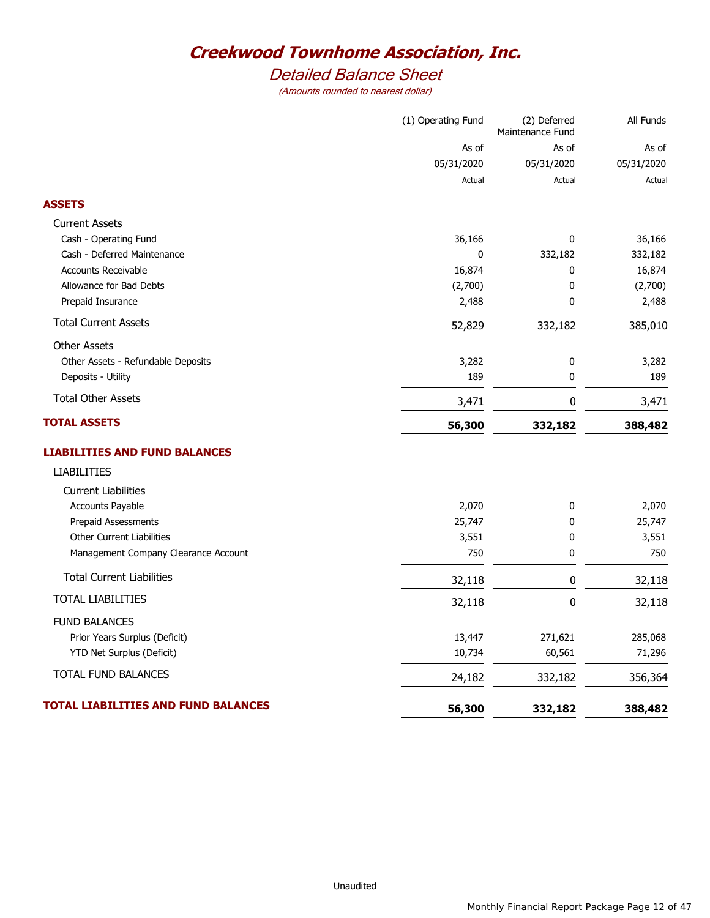# *Detailed Balance Sheet*

|                                            | (1) Operating Fund | (2) Deferred<br>Maintenance Fund | All Funds  |  |
|--------------------------------------------|--------------------|----------------------------------|------------|--|
|                                            | As of              | As of                            | As of      |  |
|                                            | 05/31/2020         | 05/31/2020                       | 05/31/2020 |  |
|                                            | Actual             | Actual                           | Actual     |  |
| <b>ASSETS</b>                              |                    |                                  |            |  |
| <b>Current Assets</b>                      |                    |                                  |            |  |
| Cash - Operating Fund                      | 36,166             | 0                                | 36,166     |  |
| Cash - Deferred Maintenance                | 0                  | 332,182                          | 332,182    |  |
| <b>Accounts Receivable</b>                 | 16,874             | 0                                | 16,874     |  |
| Allowance for Bad Debts                    | (2,700)            | 0                                | (2,700)    |  |
| Prepaid Insurance                          | 2,488              | 0                                | 2,488      |  |
| <b>Total Current Assets</b>                | 52,829             | 332,182                          | 385,010    |  |
| <b>Other Assets</b>                        |                    |                                  |            |  |
| Other Assets - Refundable Deposits         | 3,282              | 0                                | 3,282      |  |
| Deposits - Utility                         | 189                | 0                                | 189        |  |
| <b>Total Other Assets</b>                  | 3,471              | 0                                | 3,471      |  |
| <b>TOTAL ASSETS</b>                        | 56,300             | 332,182                          | 388,482    |  |
| <b>LIABILITIES AND FUND BALANCES</b>       |                    |                                  |            |  |
| <b>LIABILITIES</b>                         |                    |                                  |            |  |
| <b>Current Liabilities</b>                 |                    |                                  |            |  |
| Accounts Payable                           | 2,070              | 0                                | 2,070      |  |
| <b>Prepaid Assessments</b>                 | 25,747             | 0                                | 25,747     |  |
| Other Current Liabilities                  | 3,551              | 0                                | 3,551      |  |
| Management Company Clearance Account       | 750                | 0                                | 750        |  |
| <b>Total Current Liabilities</b>           | 32,118             | 0                                | 32,118     |  |
| TOTAL LIABILITIES                          | 32,118             | $\mathbf 0$                      | 32,118     |  |
| <b>FUND BALANCES</b>                       |                    |                                  |            |  |
| Prior Years Surplus (Deficit)              | 13,447             | 271,621                          | 285,068    |  |
| YTD Net Surplus (Deficit)                  | 10,734             | 60,561                           | 71,296     |  |
| TOTAL FUND BALANCES                        | 24,182             | 332,182                          | 356,364    |  |
| <b>TOTAL LIABILITIES AND FUND BALANCES</b> | 56,300             | 332,182                          | 388,482    |  |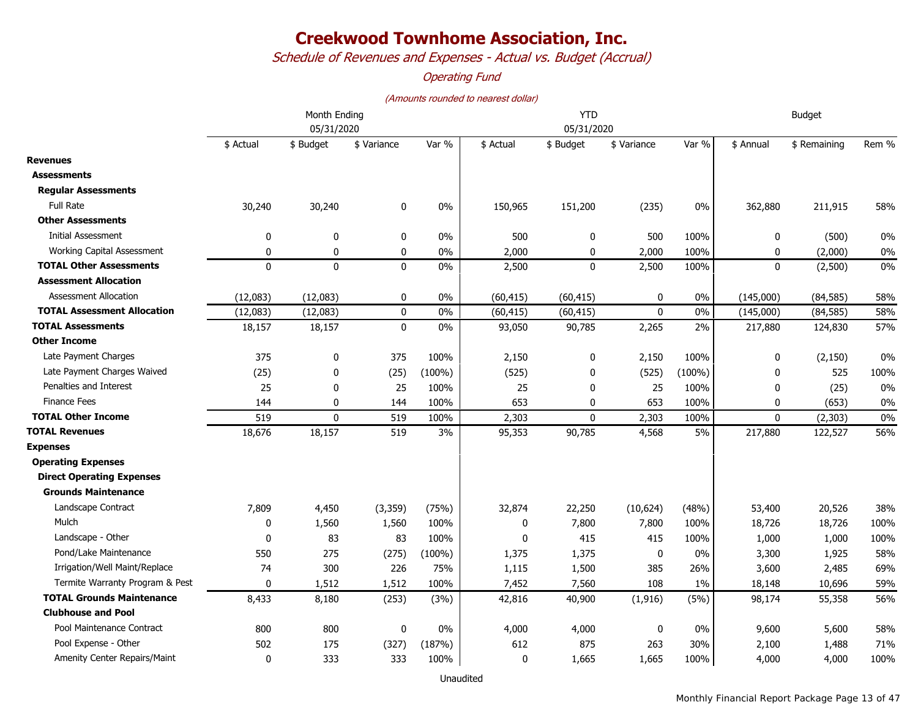*Schedule of Revenues and Expenses - Actual vs. Budget (Accrual)*

### *Operating Fund*

#### *(Amounts rounded to nearest dollar)*

|                                     | Month Ending<br>05/31/2020 |              |             |           |           | <b>YTD</b>   | <b>Budget</b> |           |              |              |       |
|-------------------------------------|----------------------------|--------------|-------------|-----------|-----------|--------------|---------------|-----------|--------------|--------------|-------|
|                                     |                            |              |             |           |           | 05/31/2020   |               |           |              |              |       |
|                                     | \$ Actual                  | \$ Budget    | \$ Variance | Var %     | \$ Actual | \$ Budget    | \$ Variance   | Var %     | \$ Annual    | \$ Remaining | Rem % |
| <b>Revenues</b>                     |                            |              |             |           |           |              |               |           |              |              |       |
| <b>Assessments</b>                  |                            |              |             |           |           |              |               |           |              |              |       |
| <b>Regular Assessments</b>          |                            |              |             |           |           |              |               |           |              |              |       |
| <b>Full Rate</b>                    | 30,240                     | 30,240       | 0           | 0%        | 150,965   | 151,200      | (235)         | 0%        | 362,880      | 211,915      | 58%   |
| <b>Other Assessments</b>            |                            |              |             |           |           |              |               |           |              |              |       |
| <b>Initial Assessment</b>           | 0                          | $\mathbf 0$  | 0           | $0\%$     | 500       | 0            | 500           | 100%      | 0            | (500)        | 0%    |
| Working Capital Assessment          | $\mathbf 0$                | $\mathbf 0$  | $\mathbf 0$ | 0%        | 2,000     | 0            | 2,000         | 100%      | 0            | (2,000)      | 0%    |
| <b>TOTAL Other Assessments</b>      | $\mathbf 0$                | $\mathbf{0}$ | $\pmb{0}$   | $0\%$     | 2,500     | $\mathbf 0$  | 2,500         | 100%      | $\mathbf 0$  | (2,500)      | 0%    |
| <b>Assessment Allocation</b>        |                            |              |             |           |           |              |               |           |              |              |       |
| <b>Assessment Allocation</b>        | (12,083)                   | (12,083)     | $\mathbf 0$ | $0\%$     | (60, 415) | (60, 415)    | $\mathbf{0}$  | 0%        | (145,000)    | (84, 585)    | 58%   |
| <b>TOTAL Assessment Allocation</b>  | (12,083)                   | (12,083)     | $\pmb{0}$   | $0\%$     | (60, 415) | (60, 415)    | 0             | 0%        | (145,000)    | (84, 585)    | 58%   |
| <b>TOTAL Assessments</b>            | 18,157                     | 18,157       | $\mathbf 0$ | 0%        | 93,050    | 90,785       | 2,265         | 2%        | 217,880      | 124,830      | 57%   |
| <b>Other Income</b>                 |                            |              |             |           |           |              |               |           |              |              |       |
| Late Payment Charges                | 375                        | 0            | 375         | 100%      | 2,150     | 0            | 2,150         | 100%      | 0            | (2, 150)     | 0%    |
| Late Payment Charges Waived         | (25)                       | 0            | (25)        | $(100\%)$ | (525)     | $\mathbf{0}$ | (525)         | $(100\%)$ | $\mathbf{0}$ | 525          | 100%  |
| Penalties and Interest              | 25                         | 0            | 25          | 100%      | 25        | 0            | 25            | 100%      | 0            | (25)         | 0%    |
| <b>Finance Fees</b>                 | 144                        | 0            | 144         | 100%      | 653       | $\mathbf{0}$ | 653           | 100%      | $\mathbf{0}$ | (653)        | 0%    |
| <b>TOTAL Other Income</b>           | 519                        | $\mathbf 0$  | 519         | 100%      | 2,303     | 0            | 2,303         | 100%      | $\mathbf 0$  | (2, 303)     | 0%    |
| <b>TOTAL Revenues</b>               | 18,676                     | 18,157       | 519         | 3%        | 95,353    | 90,785       | 4,568         | 5%        | 217,880      | 122,527      | 56%   |
| <b>Expenses</b>                     |                            |              |             |           |           |              |               |           |              |              |       |
| <b>Operating Expenses</b>           |                            |              |             |           |           |              |               |           |              |              |       |
| <b>Direct Operating Expenses</b>    |                            |              |             |           |           |              |               |           |              |              |       |
| <b>Grounds Maintenance</b>          |                            |              |             |           |           |              |               |           |              |              |       |
| Landscape Contract                  | 7,809                      | 4,450        | (3, 359)    | (75%)     | 32,874    | 22,250       | (10, 624)     | (48%)     | 53,400       | 20,526       | 38%   |
| Mulch                               | 0                          | 1,560        | 1,560       | 100%      | 0         | 7,800        | 7,800         | 100%      | 18,726       | 18,726       | 100%  |
| Landscape - Other                   | 0                          | 83           | 83          | 100%      | 0         | 415          | 415           | 100%      | 1,000        | 1,000        | 100%  |
| Pond/Lake Maintenance               | 550                        | 275          | (275)       | $(100\%)$ | 1,375     | 1,375        | 0             | 0%        | 3,300        | 1,925        | 58%   |
| Irrigation/Well Maint/Replace       | 74                         | 300          | 226         | 75%       | 1,115     | 1,500        | 385           | 26%       | 3,600        | 2,485        | 69%   |
| Termite Warranty Program & Pest     | $\mathbf{0}$               | 1,512        | 1,512       | 100%      | 7,452     | 7,560        | 108           | 1%        | 18,148       | 10,696       | 59%   |
| <b>TOTAL Grounds Maintenance</b>    | 8,433                      | 8,180        | (253)       | (3%)      | 42,816    | 40,900       | (1, 916)      | (5%)      | 98,174       | 55,358       | 56%   |
| <b>Clubhouse and Pool</b>           |                            |              |             |           |           |              |               |           |              |              |       |
| Pool Maintenance Contract           | 800                        | 800          | 0           | 0%        | 4,000     | 4,000        | 0             | 0%        | 9,600        | 5,600        | 58%   |
| Pool Expense - Other                | 502                        | 175          | (327)       | (187%)    | 612       | 875          | 263           | 30%       | 2,100        | 1,488        | 71%   |
| <b>Amenity Center Repairs/Maint</b> | $\mathbf 0$                | 333          | 333         | 100%      | $\Omega$  | 1,665        | 1,665         | 100%      | 4,000        | 4,000        | 100%  |

Unaudited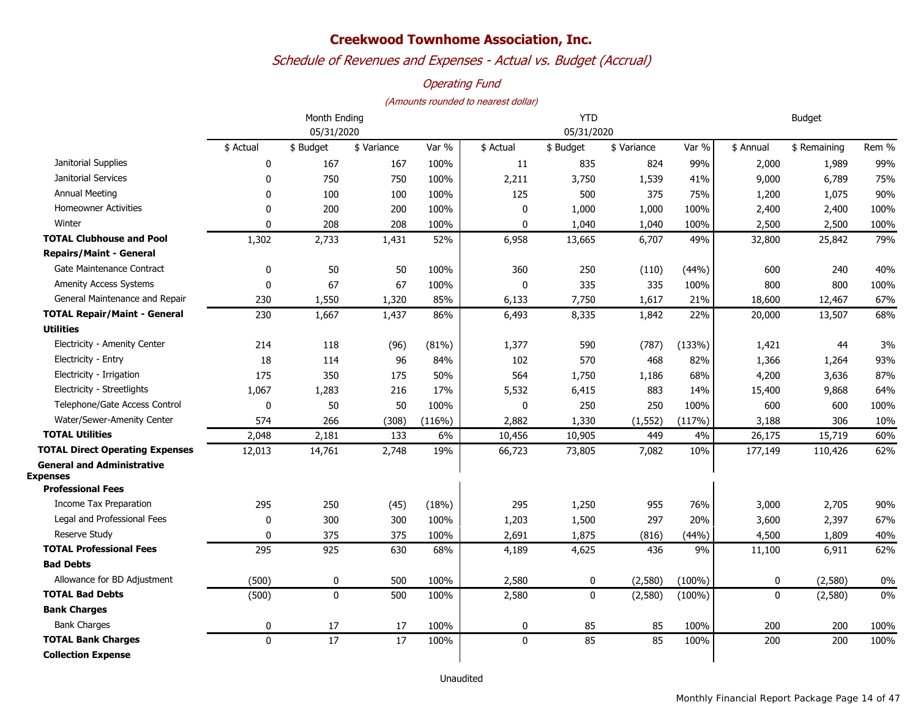## *Schedule of Revenues and Expenses - Actual vs. Budget (Accrual)*

### *Operating Fund*

|                                                      | Month Ending |             |             |        | <b>YTD</b>   |             |             |           | <b>Budget</b> |              |       |
|------------------------------------------------------|--------------|-------------|-------------|--------|--------------|-------------|-------------|-----------|---------------|--------------|-------|
|                                                      |              | 05/31/2020  |             |        |              | 05/31/2020  |             |           |               |              |       |
|                                                      | \$ Actual    | \$ Budget   | \$ Variance | Var %  | \$ Actual    | \$ Budget   | \$ Variance | Var %     | \$ Annual     | \$ Remaining | Rem % |
| Janitorial Supplies                                  | 0            | 167         | 167         | 100%   | 11           | 835         | 824         | 99%       | 2,000         | 1,989        | 99%   |
| Janitorial Services                                  | 0            | 750         | 750         | 100%   | 2,211        | 3,750       | 1,539       | 41%       | 9,000         | 6,789        | 75%   |
| <b>Annual Meeting</b>                                | 0            | 100         | 100         | 100%   | 125          | 500         | 375         | 75%       | 1,200         | 1,075        | 90%   |
| <b>Homeowner Activities</b>                          | 0            | 200         | 200         | 100%   | 0            | 1,000       | 1,000       | 100%      | 2,400         | 2,400        | 100%  |
| Winter                                               | 0            | 208         | 208         | 100%   | 0            | 1,040       | 1,040       | 100%      | 2,500         | 2,500        | 100%  |
| <b>TOTAL Clubhouse and Pool</b>                      | 1,302        | 2,733       | 1,431       | 52%    | 6,958        | 13,665      | 6,707       | 49%       | 32,800        | 25,842       | 79%   |
| <b>Repairs/Maint - General</b>                       |              |             |             |        |              |             |             |           |               |              |       |
| Gate Maintenance Contract                            | 0            | 50          | 50          | 100%   | 360          | 250         | (110)       | (44%)     | 600           | 240          | 40%   |
| <b>Amenity Access Systems</b>                        | 0            | 67          | 67          | 100%   | $\mathbf{0}$ | 335         | 335         | 100%      | 800           | 800          | 100%  |
| General Maintenance and Repair                       | 230          | 1,550       | 1,320       | 85%    | 6,133        | 7,750       | 1,617       | 21%       | 18,600        | 12,467       | 67%   |
| <b>TOTAL Repair/Maint - General</b>                  | 230          | 1,667       | 1,437       | 86%    | 6,493        | 8,335       | 1,842       | 22%       | 20,000        | 13,507       | 68%   |
| <b>Utilities</b>                                     |              |             |             |        |              |             |             |           |               |              |       |
| Electricity - Amenity Center                         | 214          | 118         | (96)        | (81%)  | 1,377        | 590         | (787)       | (133%)    | 1,421         | 44           | 3%    |
| Electricity - Entry                                  | 18           | 114         | 96          | 84%    | 102          | 570         | 468         | 82%       | 1,366         | 1,264        | 93%   |
| Electricity - Irrigation                             | 175          | 350         | 175         | 50%    | 564          | 1,750       | 1,186       | 68%       | 4,200         | 3,636        | 87%   |
| Electricity - Streetlights                           | 1,067        | 1,283       | 216         | 17%    | 5,532        | 6,415       | 883         | 14%       | 15,400        | 9,868        | 64%   |
| Telephone/Gate Access Control                        | 0            | 50          | 50          | 100%   | $\mathbf 0$  | 250         | 250         | 100%      | 600           | 600          | 100%  |
| Water/Sewer-Amenity Center                           | 574          | 266         | (308)       | (116%) | 2,882        | 1,330       | (1, 552)    | (117%)    | 3,188         | 306          | 10%   |
| <b>TOTAL Utilities</b>                               | 2,048        | 2,181       | 133         | 6%     | 10,456       | 10,905      | 449         | 4%        | 26,175        | 15,719       | 60%   |
| <b>TOTAL Direct Operating Expenses</b>               | 12,013       | 14,761      | 2,748       | 19%    | 66,723       | 73,805      | 7,082       | 10%       | 177,149       | 110,426      | 62%   |
| <b>General and Administrative</b><br><b>Expenses</b> |              |             |             |        |              |             |             |           |               |              |       |
| <b>Professional Fees</b>                             |              |             |             |        |              |             |             |           |               |              |       |
| Income Tax Preparation                               | 295          | 250         | (45)        | (18%)  | 295          | 1,250       | 955         | 76%       | 3,000         | 2,705        | 90%   |
| Legal and Professional Fees                          | $\mathbf 0$  | 300         | 300         | 100%   | 1,203        | 1,500       | 297         | 20%       | 3,600         | 2,397        | 67%   |
| Reserve Study                                        | $\mathbf{0}$ | 375         | 375         | 100%   | 2,691        | 1,875       | (816)       | (44%)     | 4,500         | 1,809        | 40%   |
| <b>TOTAL Professional Fees</b>                       | 295          | 925         | 630         | 68%    | 4,189        | 4,625       | 436         | 9%        | 11,100        | 6,911        | 62%   |
| <b>Bad Debts</b>                                     |              |             |             |        |              |             |             |           |               |              |       |
| Allowance for BD Adjustment                          | (500)        | 0           | 500         | 100%   | 2,580        | $\mathbf 0$ | (2,580)     | $(100\%)$ | 0             | (2,580)      | 0%    |
| <b>TOTAL Bad Debts</b>                               | (500)        | $\mathbf 0$ | 500         | 100%   | 2,580        | $\mathbf 0$ | (2,580)     | $(100\%)$ | $\mathbf 0$   | (2,580)      | 0%    |
| <b>Bank Charges</b>                                  |              |             |             |        |              |             |             |           |               |              |       |
| <b>Bank Charges</b>                                  | 0            | 17          | 17          | 100%   | $\mathbf 0$  | 85          | 85          | 100%      | 200           | 200          | 100%  |
| <b>TOTAL Bank Charges</b>                            | 0            | 17          | 17          | 100%   | $\Omega$     | 85          | 85          | 100%      | 200           | 200          | 100%  |
| <b>Collection Expense</b>                            |              |             |             |        |              |             |             |           |               |              |       |
|                                                      |              |             |             |        |              |             |             |           |               |              |       |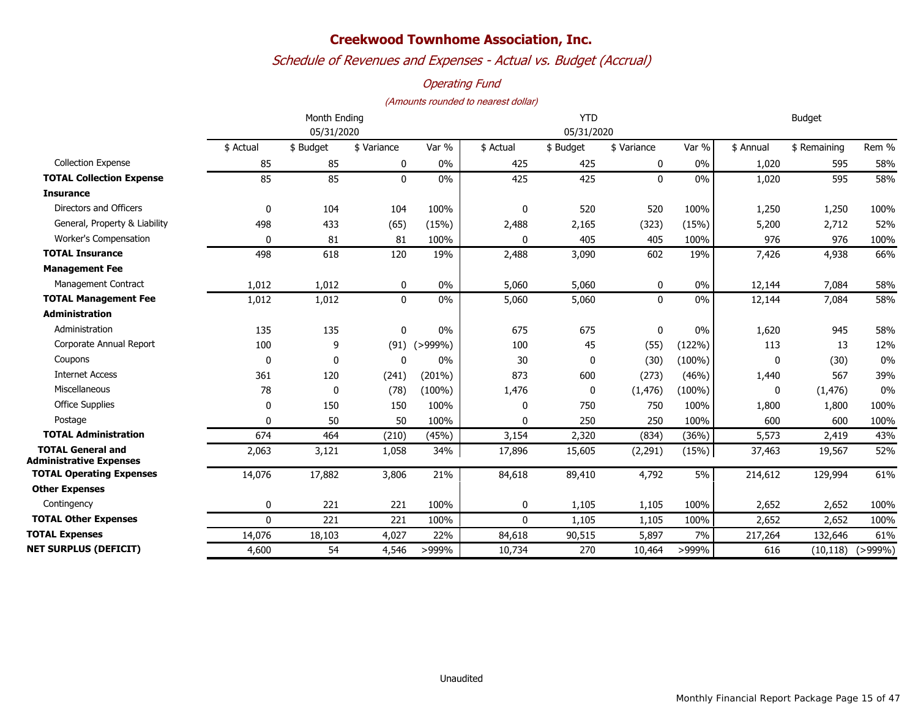## *Schedule of Revenues and Expenses - Actual vs. Budget (Accrual)*

### *Operating Fund*

|                                                            | Month Ending<br>05/31/2020 |             |             |              | <b>YTD</b>   |            |              |           | <b>Budget</b> |              |              |  |
|------------------------------------------------------------|----------------------------|-------------|-------------|--------------|--------------|------------|--------------|-----------|---------------|--------------|--------------|--|
|                                                            |                            |             |             |              |              | 05/31/2020 |              |           |               |              |              |  |
|                                                            | \$ Actual                  | \$ Budget   | \$ Variance | Var %        | \$ Actual    | \$ Budget  | \$ Variance  | Var %     | \$ Annual     | \$ Remaining | Rem %        |  |
| <b>Collection Expense</b>                                  | 85                         | 85          | 0           | 0%           | 425          | 425        | 0            | $0\%$     | 1,020         | 595          | 58%          |  |
| <b>TOTAL Collection Expense</b>                            | 85                         | 85          | $\mathbf 0$ | $0\%$        | 425          | 425        | $\mathbf{0}$ | 0%        | 1,020         | 595          | 58%          |  |
| <b>Insurance</b>                                           |                            |             |             |              |              |            |              |           |               |              |              |  |
| Directors and Officers                                     | $\mathbf{0}$               | 104         | 104         | 100%         | $\mathbf 0$  | 520        | 520          | 100%      | 1,250         | 1,250        | 100%         |  |
| General, Property & Liability                              | 498                        | 433         | (65)        | (15%)        | 2,488        | 2,165      | (323)        | (15%)     | 5,200         | 2,712        | 52%          |  |
| Worker's Compensation                                      | $\Omega$                   | 81          | 81          | 100%         | $\mathbf{0}$ | 405        | 405          | 100%      | 976           | 976          | 100%         |  |
| <b>TOTAL Insurance</b>                                     | 498                        | 618         | 120         | 19%          | 2,488        | 3,090      | 602          | 19%       | 7,426         | 4,938        | 66%          |  |
| <b>Management Fee</b>                                      |                            |             |             |              |              |            |              |           |               |              |              |  |
| Management Contract                                        | 1,012                      | 1,012       | 0           | 0%           | 5,060        | 5,060      | 0            | 0%        | 12,144        | 7,084        | 58%          |  |
| <b>TOTAL Management Fee</b>                                | 1,012                      | 1,012       | 0           | 0%           | 5,060        | 5,060      | 0            | 0%        | 12,144        | 7,084        | 58%          |  |
| <b>Administration</b>                                      |                            |             |             |              |              |            |              |           |               |              |              |  |
| Administration                                             | 135                        | 135         | 0           | $0\%$        | 675          | 675        | 0            | 0%        | 1,620         | 945          | 58%          |  |
| Corporate Annual Report                                    | 100                        | 9           | (91)        | $( > 999\%)$ | 100          | 45         | (55)         | (122%)    | 113           | 13           | 12%          |  |
| Coupons                                                    | $\mathbf{0}$               | $\mathbf 0$ | 0           | $0\%$        | 30           | 0          | (30)         | $(100\%)$ | 0             | (30)         | 0%           |  |
| <b>Internet Access</b>                                     | 361                        | 120         | (241)       | $(201\%)$    | 873          | 600        | (273)        | (46%)     | 1,440         | 567          | 39%          |  |
| Miscellaneous                                              | 78                         | 0           | (78)        | $(100\%)$    | 1,476        | 0          | (1, 476)     | $(100\%)$ | 0             | (1, 476)     | 0%           |  |
| <b>Office Supplies</b>                                     | $\mathbf{0}$               | 150         | 150         | 100%         | $\mathbf{0}$ | 750        | 750          | 100%      | 1,800         | 1,800        | 100%         |  |
| Postage                                                    | $\Omega$                   | 50          | 50          | 100%         | $\Omega$     | 250        | 250          | 100%      | 600           | 600          | 100%         |  |
| <b>TOTAL Administration</b>                                | 674                        | 464         | (210)       | (45%)        | 3,154        | 2,320      | (834)        | (36%)     | 5,573         | 2,419        | 43%          |  |
| <b>TOTAL General and</b><br><b>Administrative Expenses</b> | 2,063                      | 3,121       | 1,058       | 34%          | 17,896       | 15,605     | (2, 291)     | (15%)     | 37,463        | 19,567       | 52%          |  |
| <b>TOTAL Operating Expenses</b>                            | 14,076                     | 17,882      | 3,806       | 21%          | 84,618       | 89,410     | 4,792        | 5%        | 214,612       | 129,994      | 61%          |  |
| <b>Other Expenses</b>                                      |                            |             |             |              |              |            |              |           |               |              |              |  |
| Contingency                                                | 0                          | 221         | 221         | 100%         | 0            | 1,105      | 1,105        | 100%      | 2,652         | 2,652        | 100%         |  |
| <b>TOTAL Other Expenses</b>                                | $\mathbf{0}$               | 221         | 221         | 100%         | $\mathbf 0$  | 1,105      | 1,105        | 100%      | 2,652         | 2,652        | 100%         |  |
| <b>TOTAL Expenses</b>                                      | 14,076                     | 18,103      | 4,027       | 22%          | 84,618       | 90,515     | 5,897        | 7%        | 217,264       | 132,646      | 61%          |  |
| <b>NET SURPLUS (DEFICIT)</b>                               | 4,600                      | 54          | 4,546       | >999%        | 10,734       | 270        | 10,464       | >999%     | 616           | (10, 118)    | $( > 999\%)$ |  |